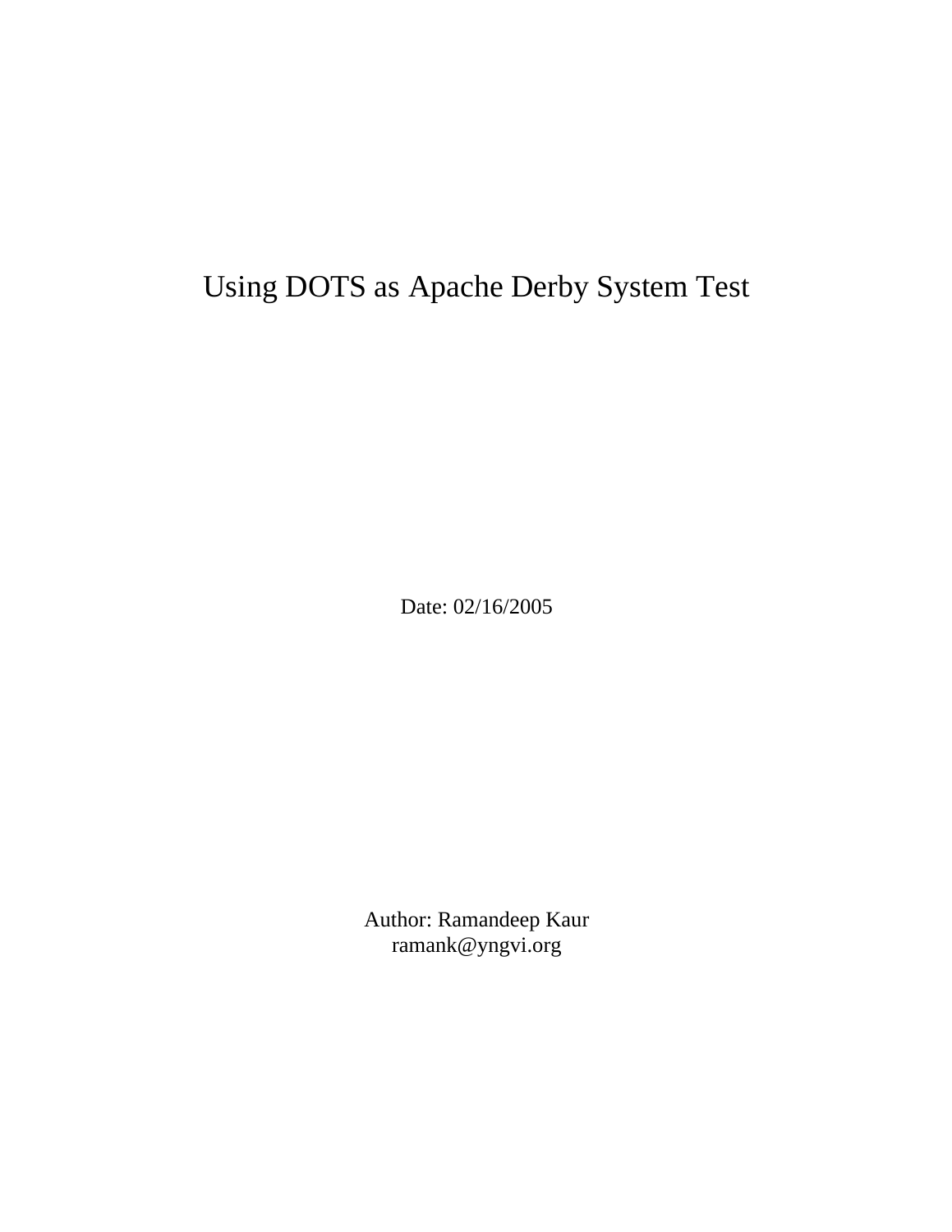# Using DOTS as Apache Derby System Test

Date: 02/16/2005

Author: Ramandeep Kaur ramank@yngvi.org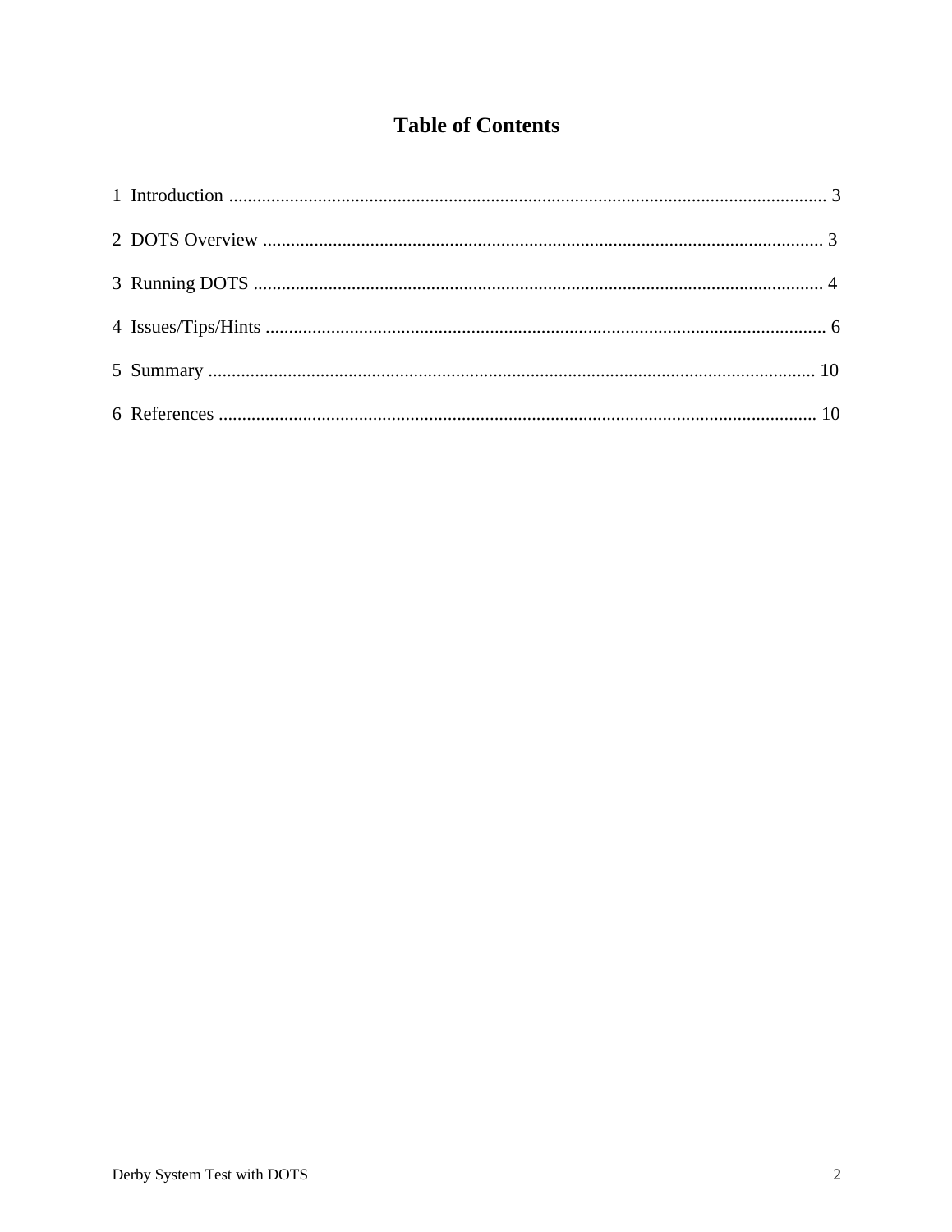# **Table of Contents**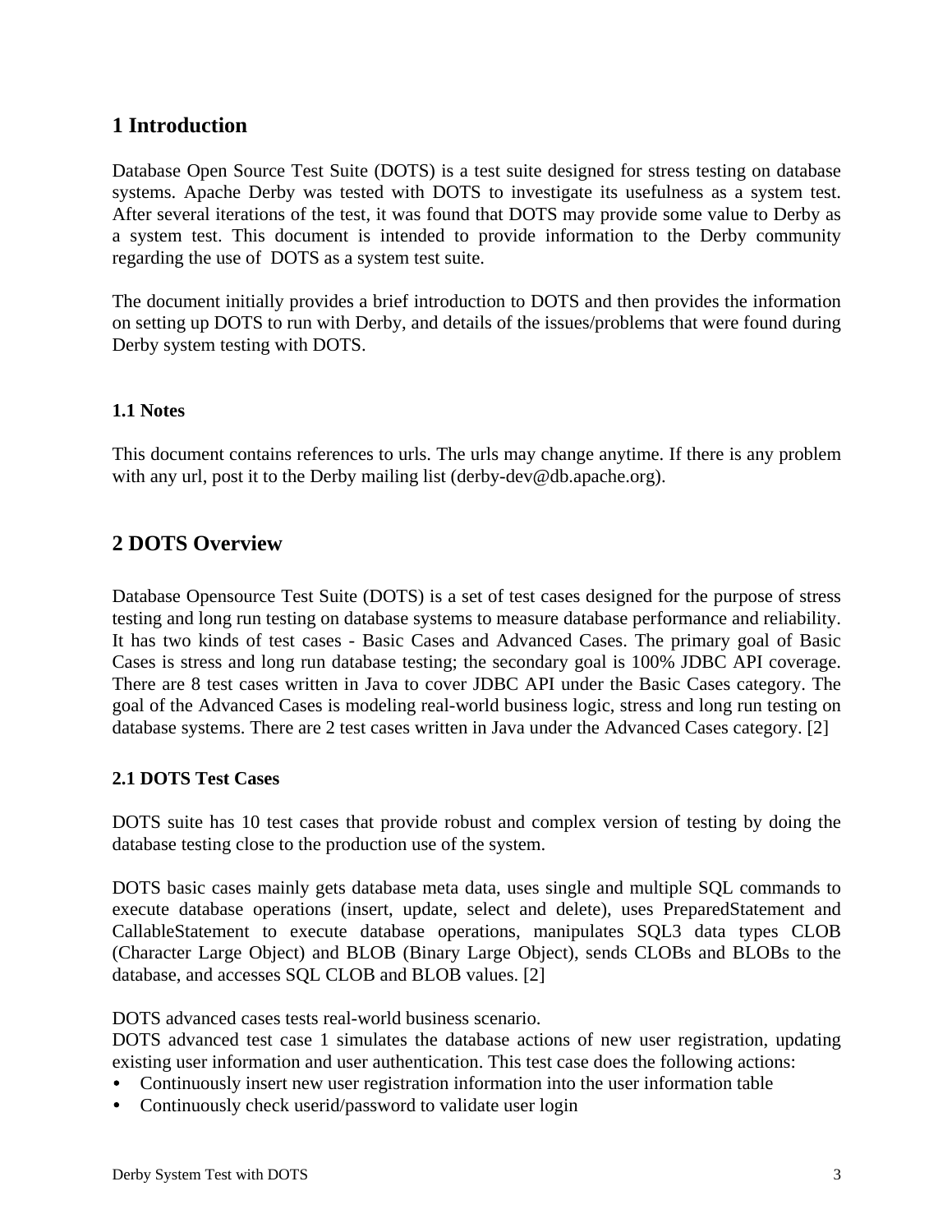# **1 Introduction**

Database Open Source Test Suite (DOTS) is a test suite designed for stress testing on database systems. Apache Derby was tested with DOTS to investigate its usefulness as a system test. After several iterations of the test, it was found that DOTS may provide some value to Derby as a system test. This document is intended to provide information to the Derby community regarding the use of DOTS as a system test suite.

The document initially provides a brief introduction to DOTS and then provides the information on setting up DOTS to run with Derby, and details of the issues/problems that were found during Derby system testing with DOTS.

# **1.1 Notes**

This document contains references to urls. The urls may change anytime. If there is any problem with any url, post it to the Derby mailing list (derby-dev@db.apache.org).

# **2 DOTS Overview**

Database Opensource Test Suite (DOTS) is a set of test cases designed for the purpose of stress testing and long run testing on database systems to measure database performance and reliability. It has two kinds of test cases - Basic Cases and Advanced Cases. The primary goal of Basic Cases is stress and long run database testing; the secondary goal is 100% JDBC API coverage. There are 8 test cases written in Java to cover JDBC API under the Basic Cases category. The goal of the Advanced Cases is modeling real-world business logic, stress and long run testing on database systems. There are 2 test cases written in Java under the Advanced Cases category. [2]

### **2.1 DOTS Test Cases**

DOTS suite has 10 test cases that provide robust and complex version of testing by doing the database testing close to the production use of the system.

DOTS basic cases mainly gets database meta data, uses single and multiple SQL commands to execute database operations (insert, update, select and delete), uses PreparedStatement and CallableStatement to execute database operations, manipulates SQL3 data types CLOB (Character Large Object) and BLOB (Binary Large Object), sends CLOBs and BLOBs to the database, and accesses SQL CLOB and BLOB values. [2]

DOTS advanced cases tests real-world business scenario.

DOTS advanced test case 1 simulates the database actions of new user registration, updating existing user information and user authentication. This test case does the following actions:

- Continuously insert new user registration information into the user information table
- Continuously check userid/password to validate user login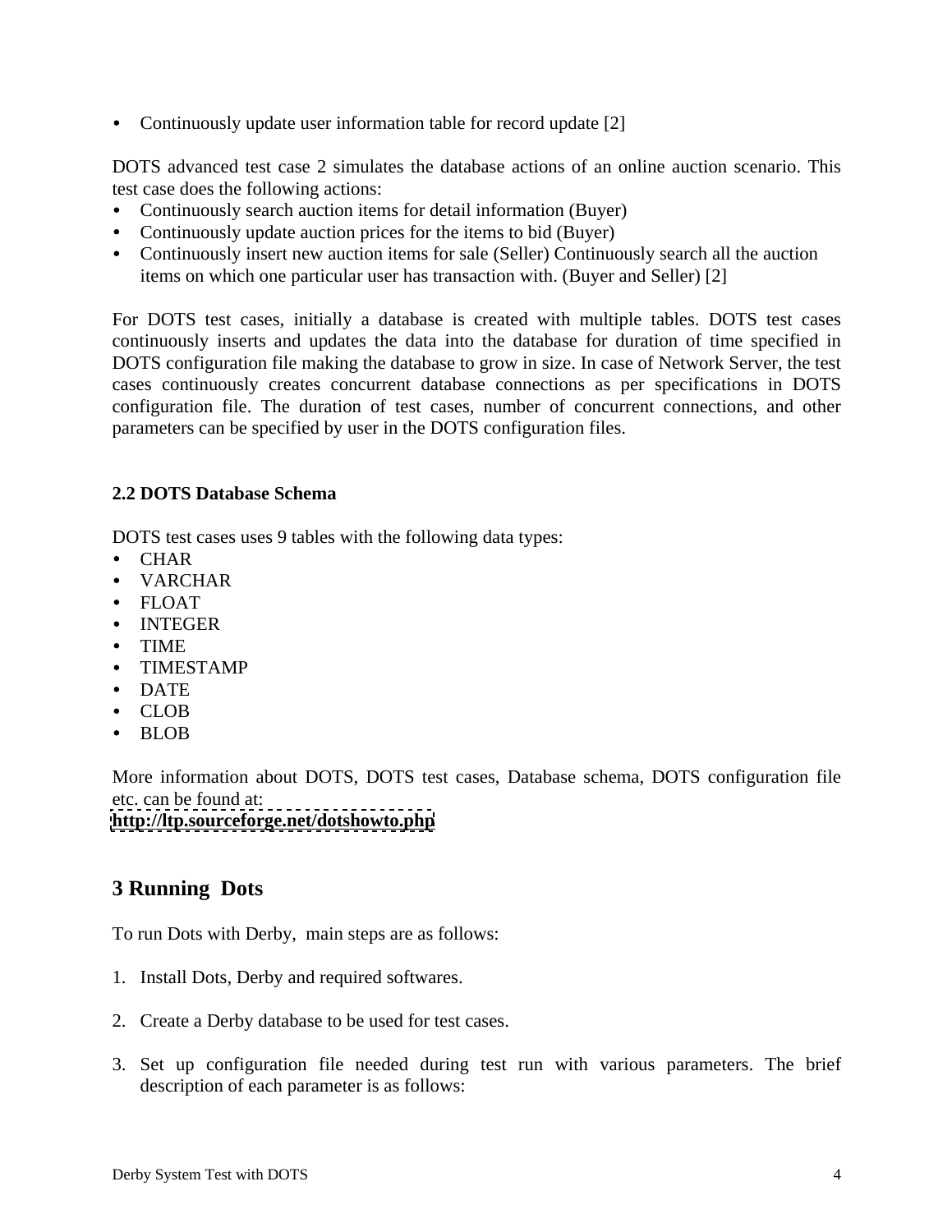• Continuously update user information table for record update [2]

DOTS advanced test case 2 simulates the database actions of an online auction scenario. This test case does the following actions:

- Continuously search auction items for detail information (Buyer)
- Continuously update auction prices for the items to bid (Buyer)
- Continuously insert new auction items for sale (Seller) Continuously search all the auction items on which one particular user has transaction with. (Buyer and Seller) [2]

For DOTS test cases, initially a database is created with multiple tables. DOTS test cases continuously inserts and updates the data into the database for duration of time specified in DOTS configuration file making the database to grow in size. In case of Network Server, the test cases continuously creates concurrent database connections as per specifications in DOTS configuration file. The duration of test cases, number of concurrent connections, and other parameters can be specified by user in the DOTS configuration files.

# **2.2 DOTS Database Schema**

DOTS test cases uses 9 tables with the following data types:

- CHAR
- VARCHAR
- FLOAT
- INTEGER
- TIME
- TIMESTAMP
- DATE
- CLOB
- BLOB

More information about DOTS, DOTS test cases, Database schema, DOTS configuration file etc. can be found at:

### **<http://ltp.sourceforge.net/dotshowto.php>**

# **3 Running Dots**

To run Dots with Derby, main steps are as follows:

- 1. Install Dots, Derby and required softwares.
- 2. Create a Derby database to be used for test cases.
- 3. Set up configuration file needed during test run with various parameters. The brief description of each parameter is as follows: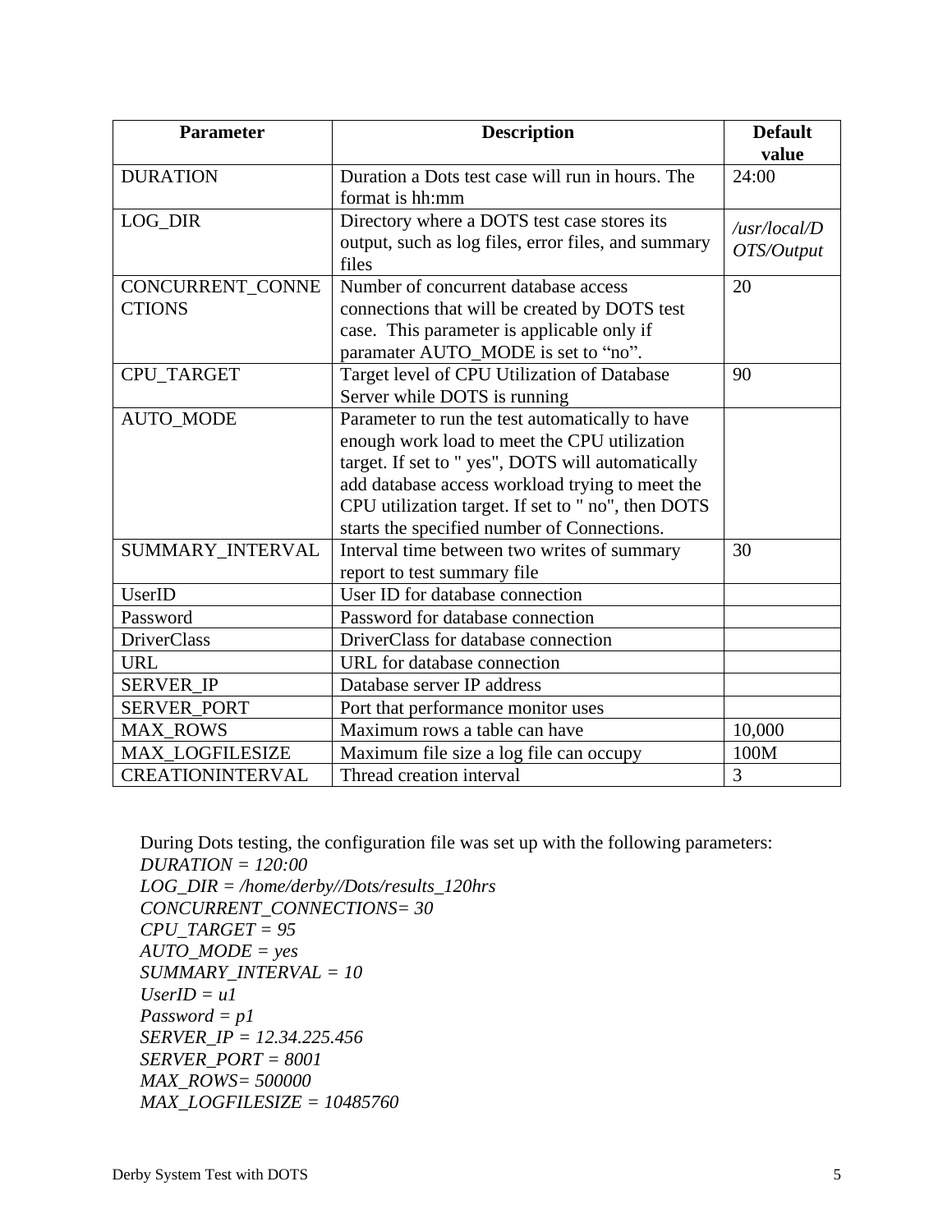| <b>Parameter</b>                           | <b>Description</b>                                                                                                                                                                                                                                                                                           | <b>Default</b><br>value                                 |
|--------------------------------------------|--------------------------------------------------------------------------------------------------------------------------------------------------------------------------------------------------------------------------------------------------------------------------------------------------------------|---------------------------------------------------------|
| <b>DURATION</b>                            | Duration a Dots test case will run in hours. The<br>format is hh:mm                                                                                                                                                                                                                                          | 24:00                                                   |
| LOG_DIR                                    | Directory where a DOTS test case stores its<br>output, such as log files, error files, and summary                                                                                                                                                                                                           | $\frac{1}{10}$ /usr/local/D<br>$\frac{1}{2}$ OTS/Output |
|                                            | CONCURRENT_CONNE   Number of concurrent database access                                                                                                                                                                                                                                                      | 20                                                      |
| <b>CTIONS</b>                              | connections that will be created by DOTS test<br>case. This parameter is applicable only if<br>paramater AUTO_MODE is set to "no".                                                                                                                                                                           |                                                         |
| CPU_TARGET                                 | Target level of CPU Utilization of Database<br>Server while DOTS is running                                                                                                                                                                                                                                  | 90 <sup>°</sup>                                         |
| AUTO_MODE                                  | Parameter to run the test automatically to have<br>enough work load to meet the CPU utilization<br>target. If set to " yes", DOTS will automatically<br>add database access workload trying to meet the<br>CPU utilization target. If set to " no", then DOTS<br>starts the specified number of Connections. |                                                         |
| SUMMARY_INTERVAL                           | Interval time between two writes of summary<br>report to test summary file                                                                                                                                                                                                                                   | 30 <sup>°</sup>                                         |
| <b>UserID</b><br>Password                  | User ID for database connection<br>Password for database connection                                                                                                                                                                                                                                          |                                                         |
| DriverClass                                | DriverClass for database connection                                                                                                                                                                                                                                                                          |                                                         |
| <b>URL</b>                                 | URL for database connection                                                                                                                                                                                                                                                                                  |                                                         |
| SERVER_IP                                  | Database server IP address                                                                                                                                                                                                                                                                                   |                                                         |
| SERVER_PORT                                | Port that performance monitor uses                                                                                                                                                                                                                                                                           |                                                         |
| MAX_ROWS                                   | Maximum rows a table can have                                                                                                                                                                                                                                                                                | 10,000                                                  |
| <b>MAX_LOGFILESIZE</b><br>CREATIONINTERVAL | Maximum file size a log file can occupy<br>Thread creation interval                                                                                                                                                                                                                                          | 100M                                                    |

```
During Dots testing, the configuration file was set up with the following parameters:
 DURATION = 120:00
LOG_DIR = /home/derby//Dots/results_120hrs
 CONCURRENT_CONNECTIONS= 30
CPU_TARGET = 95
AUTO_MODE = yes
SUMMARY_INTERVAL = 10
Use rID = uI Password = p1
SERVER_IP = 12.34.225.456
SERVER_PORT = 8001
MAX_ROWS= 500000
MAX_LOGFILESIZE = 10485760
```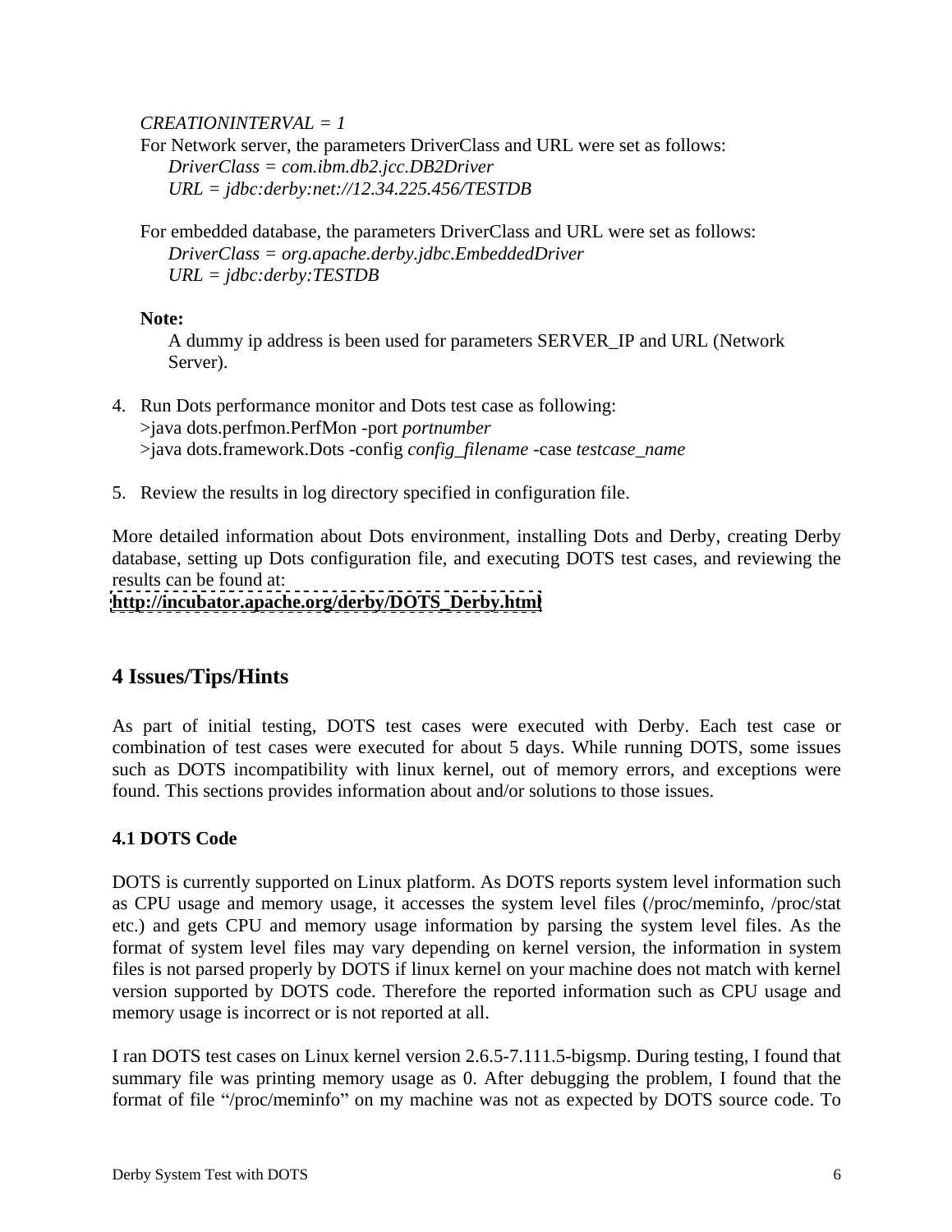*CREATIONINTERVAL = 1*

 For Network server, the parameters DriverClass and URL were set as follows:  *DriverClass = com.ibm.db2.jcc.DB2Driver URL = jdbc:derby:net://12.34.225.456/TESTDB*

For embedded database, the parameters DriverClass and URL were set as follows:  *DriverClass = org.apache.derby.jdbc.EmbeddedDriver URL = jdbc:derby:TESTDB*

# **Note:**

A dummy ip address is been used for parameters SERVER\_IP and URL (Network Server).

- 4. Run Dots performance monitor and Dots test case as following: >java dots.perfmon.PerfMon -port *portnumber* >java dots.framework.Dots -config *config\_filename* -case *testcase\_name*
- 5. Review the results in log directory specified in configuration file.

More detailed information about Dots environment, installing Dots and Derby, creating Derby database, setting up Dots configuration file, and executing DOTS test cases, and reviewing the results can be found at:

## **[http://incubator.apache.org/derby/DOTS\\_Derby.html](http://incubator.apache.org/derby/DOTS_Derby.html)**

# **4 Issues/Tips/Hints**

As part of initial testing, DOTS test cases were executed with Derby. Each test case or combination of test cases were executed for about 5 days. While running DOTS, some issues such as DOTS incompatibility with linux kernel, out of memory errors, and exceptions were found. This sections provides information about and/or solutions to those issues.

# **4.1 DOTS Code**

DOTS is currently supported on Linux platform. As DOTS reports system level information such as CPU usage and memory usage, it accesses the system level files (/proc/meminfo, /proc/stat etc.) and gets CPU and memory usage information by parsing the system level files. As the format of system level files may vary depending on kernel version, the information in system files is not parsed properly by DOTS if linux kernel on your machine does not match with kernel version supported by DOTS code. Therefore the reported information such as CPU usage and memory usage is incorrect or is not reported at all.

I ran DOTS test cases on Linux kernel version 2.6.5-7.111.5-bigsmp. During testing, I found that summary file was printing memory usage as 0. After debugging the problem, I found that the format of file "/proc/meminfo" on my machine was not as expected by DOTS source code. To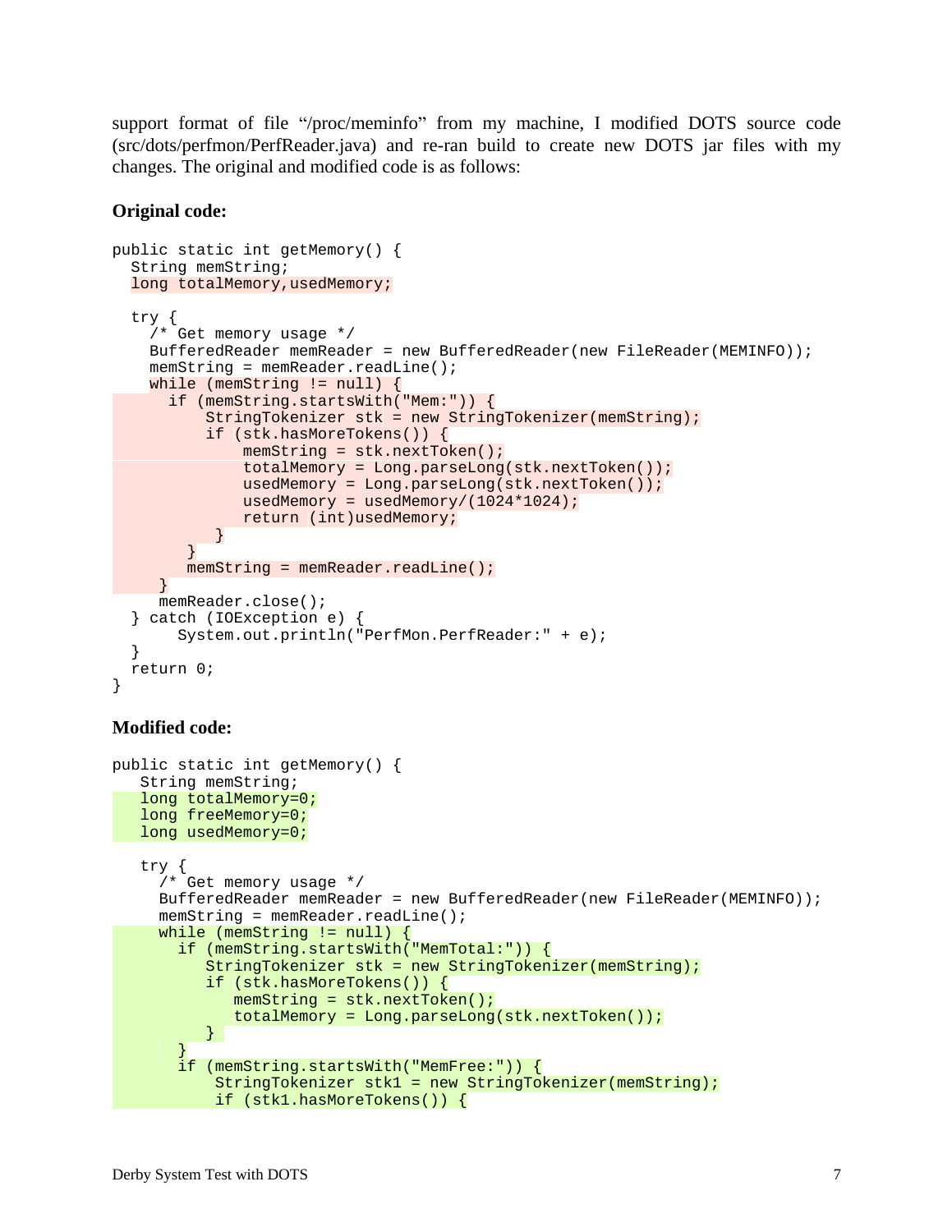support format of file "/proc/meminfo" from my machine, I modified DOTS source code (src/dots/perfmon/PerfReader.java) and re-ran build to create new DOTS jar files with my changes. The original and modified code is as follows:

### **Original code:**

```
public static int getMemory() {
String memString; string; string; string; string; string; string; string; string; string; string; string; string; string; string; string; string; string; string; string; string; string; string; string; string; string; stri
long totalMemory, usedMemory; encoded and the set of the set of the set of the set of the set of the set of the set of the set of the set of the set of the set of the set of the set of the set of the set of the set of the 
 try {
 /* Get memory usage */
 BufferedReader memReader = new BufferedReader(new FileReader(MEMINFO));
 memString = memReader.readLine();
 while (memString != null) \{ if (memString.startsWith("Mem:")) {
    StringTokenizer stk = new StringTokenizer(memString);
 if (stk.hasMoreTokens()) {
     memString = stk.nextToken();
     totalMemory = Long.parseLong(stk.nextToken());
    usedMemory = Long.parseLong(stk.nextToken());
    usedMemory = usedMemory/(1024*1024);
return (int)usedMemory; the contract of the contract of the contract of the contract of the contract of the contract of the contract of the contract of the contract of the contract of the contract of the contract of the co
 }
 }
   memString = memReader.readLine();
 }
 memReader.close();
 } catch (IOException e) {
   System.out.println("PerfMon.PerfReader:" + e);
 }
 return 0;
}
Modified code:
```

```
public static int getMemory() {
String memString; string and the string of the string memorial string in the string memorial string in the string \alpha long totalMemory=0;
long freeMemory=0; the contract of the contract of the contract of the contract of the contract of the contract of the contract of the contract of the contract of the contract of the contract of the contract of the contrac
 long usedMemory=0;
 try {
 /* Get memory usage */
  BufferedReader memReader = new BufferedReader(new FileReader(MEMINFO));
   memString = memReader.readLine();
 while (memString != null) {
   if (memString.startsWith("MemTotal:")) {
     StringTokenizer stk = new StringTokenizer(memString);
     if (stk.hasMoreTokens()) {
     memString = stk.nextToken();
     totalMemory = Long.parseLong(stk.nextToken());
}
en and the second property of the second control of the second control of the second control of the second control of the second control of the second control of the second control of the second control of the second contr
    if (memString.startsWith("MemFree:")) {
     StringTokenizer stk1 = new StringTokenizer(memString);
 if (stk1.hasMoreTokens()) {
```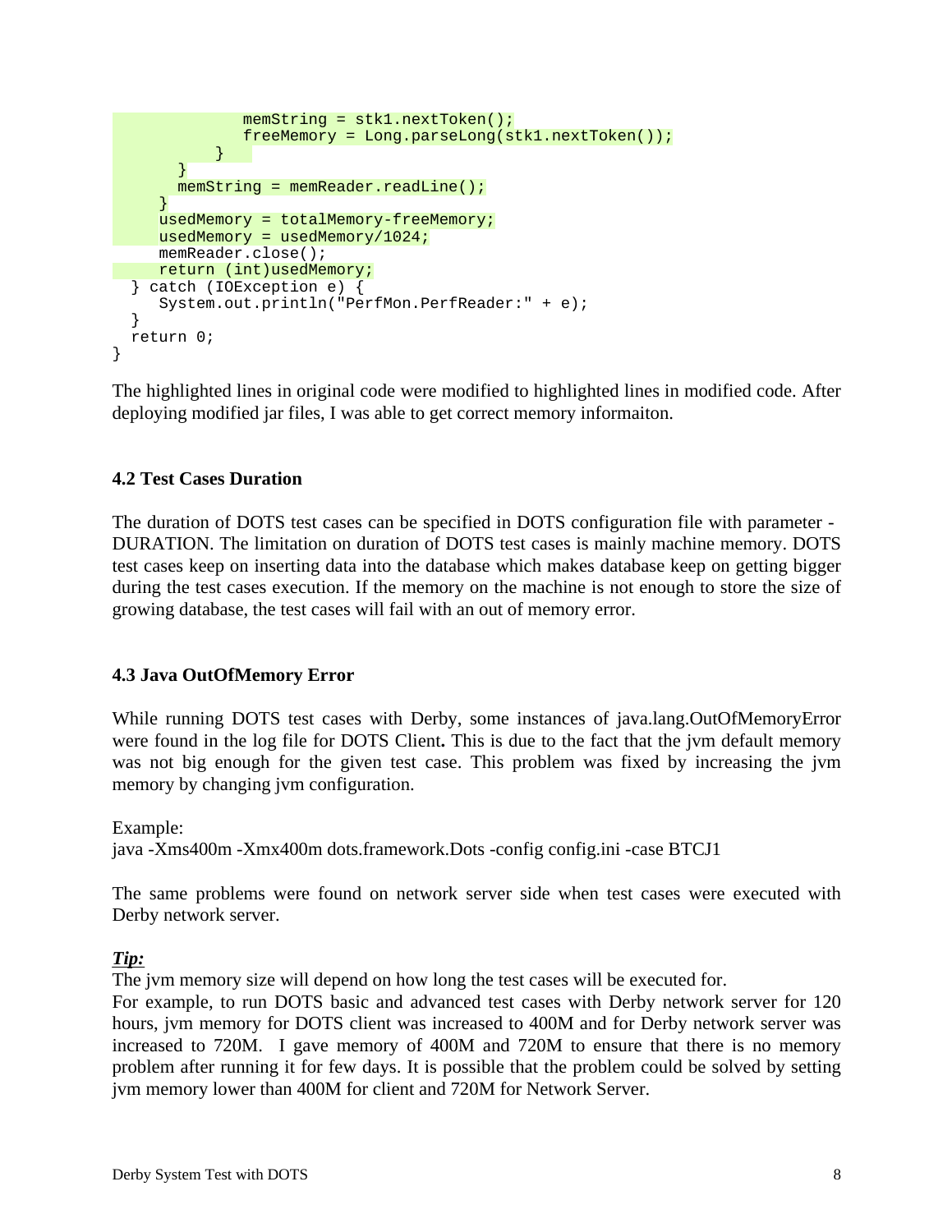```
 memString = stk1.nextToken();
     freeMemory = Long.parseLong(stk1.nextToken());
→ South Control → South Control → South Control → South Control → South Control → South Control → South Control → South Control → South Control → South Control → South Control → South C
en and the second property of the second property of the second property of the second property of the second p
   memString = memReader.readLine();
endo de la construcción de la construcción de la construcción de la construcción de la construcción de la construcción de la construcción de la construcción de la construcción de la construcción de la construcción de la co
   usedMemory = totalMemory-freeMemory;
  usedMemory = usedMemory/1024;
  memReader.close();
 return (int)usedMemory;
 } catch (IOException e) {
   System.out.println("PerfMon.PerfReader:" + e);
 }
 return 0;
}
```
The highlighted lines in original code were modified to highlighted lines in modified code. After deploying modified jar files, I was able to get correct memory informaiton.

# **4.2 Test Cases Duration**

The duration of DOTS test cases can be specified in DOTS configuration file with parameter - DURATION. The limitation on duration of DOTS test cases is mainly machine memory. DOTS test cases keep on inserting data into the database which makes database keep on getting bigger during the test cases execution. If the memory on the machine is not enough to store the size of growing database, the test cases will fail with an out of memory error.

# **4.3 Java OutOfMemory Error**

While running DOTS test cases with Derby, some instances of java.lang.OutOfMemoryError were found in the log file for DOTS Client**.** This is due to the fact that the jvm defaultmemory was not big enough for the given test case. This problem was fixed by increasing the jvm memory by changing jvm configuration.

# Example:

java -Xms400m -Xmx400m dots.framework.Dots -config config.ini -case BTCJ1

The same problems were found on network server side when test cases were executed with Derby network server.

# *Tip:*

The jvm memory size will depend on how long the test cases will be executed for.

For example, to run DOTS basic and advanced test cases with Derby network server for 120 hours, jvm memory for DOTS client was increased to 400M and for Derby network server was increased to 720M. I gave memory of 400M and 720M to ensure that there is no memory problem after running it for few days. It is possible that the problem could be solved by setting jvm memory lower than 400M for client and 720M for Network Server.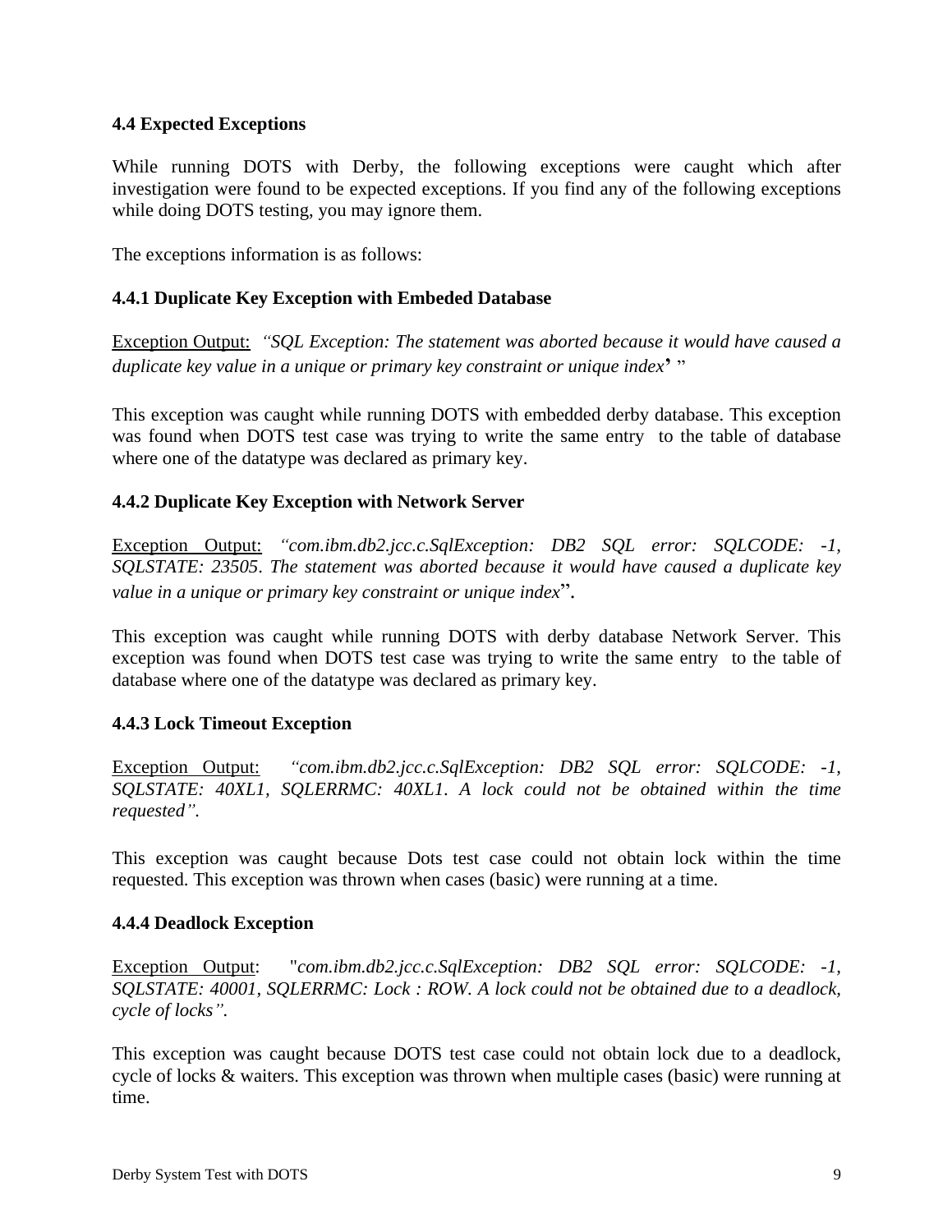# **4.4 Expected Exceptions**

While running DOTS with Derby, the following exceptions were caught which after investigation were found to be expected exceptions. If you find any of the following exceptions while doing DOTS testing, you may ignore them.

The exceptions information is as follows:

# **4.4.1 Duplicate Key Exception with Embeded Database**

Exception Output: *SQL Exception: The statement was aborted because it would have caused a duplicate key value in a unique or primary key constraint or unique index*

This exception was caught while running DOTS with embedded derby database. This exception was found when DOTS test case was trying to write the same entry to the table of database where one of the datatype was declared as primary key.

# **4.4.2 Duplicate Key Exception with Network Server**

Exception Output: *com.ibm.db2.jcc.c.SqlException: DB2 SQL error: SQLCODE: -1, SQLSTATE: 23505*. *The statement was aborted because it would have caused a duplicate key value in a unique or primary key constraint or unique index*".

This exception was caught while running DOTS with derby database Network Server. This exception was found when DOTS test case was trying to write the same entry to the table of database where one of the datatype was declared as primary key.

### **4.4.3 Lock Timeout Exception**

Exception Output: *"com.ibm.db2.jcc.c.SqlException: DB2 SOL error: SOLCODE: -1, SQLSTATE: 40XL1, SQLERRMC: 40XL1*. *A lock could not be obtained within the time requested .*

This exception was caught because Dots test case could not obtain lock within the time requested. This exception was thrown when cases (basic) were running at a time.

### **4.4.4 Deadlock Exception**

Exception Output: "*com.ibm.db2.jcc.c.SqlException: DB2 SQL error: SQLCODE: -1, SQLSTATE: 40001, SQLERRMC: Lock : ROW. A lock could not be obtained due to a deadlock, cycle of locks .*

This exception was caught because DOTS test case could not obtain lock due to a deadlock, cycle of locks & waiters. This exception was thrown when multiple cases (basic) were running at time.